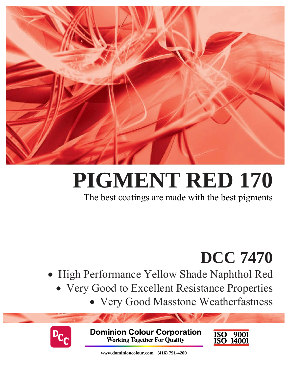

# **PIGMENT RED 170**

The best coatings are made with the best pigments

## **DCC 7470**

- High Performance Yellow Shade Naphthol Red
	- Very Good to Excellent Resistance Properties
		- Very Good Masstone Weatherfastness



**Dominion Colour Corporation Working Together For Quality** 



**www.dominioncolour.com |(416) 791-4200**